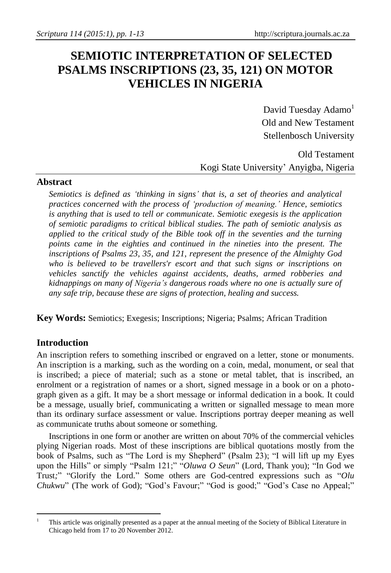# **SEMIOTIC INTERPRETATION OF SELECTED PSALMS INSCRIPTIONS (23, 35, 121) ON MOTOR VEHICLES IN NIGERIA**

David Tuesday Adamo<sup>1</sup> Old and New Testament Stellenbosch University

## Old Testament Kogi State University' Anyigba, Nigeria

## **Abstract**

*Semiotics is defined as 'thinking in signs' that is, a set of theories and analytical practices concerned with the process of 'production of meaning.' Hence, semiotics is anything that is used to tell or communicate. Semiotic exegesis is the application of semiotic paradigms to critical biblical studies. The path of semiotic analysis as applied to the critical study of the Bible took off in the seventies and the turning points came in the eighties and continued in the nineties into the present. The inscriptions of Psalms 23, 35, and 121, represent the presence of the Almighty God who is believed to be travellers'r escort and that such signs or inscriptions on vehicles sanctify the vehicles against accidents, deaths, armed robberies and kidnappings on many of Nigeria's dangerous roads where no one is actually sure of any safe trip, because these are signs of protection, healing and success.*

**Key Words:** Semiotics; Exegesis; Inscriptions; Nigeria; Psalms; African Tradition

## **Introduction**

An inscription refers to something inscribed or engraved on a letter, stone or monuments. An inscription is a marking, such as the wording on a coin, medal, monument, or seal that is inscribed; a piece of material; such as a stone or metal tablet, that is inscribed, an enrolment or a registration of names or a short, signed message in a book or on a photograph given as a gift. It may be a short message or informal dedication in a book. It could be a message, usually brief, communicating a written or signalled message to mean more than its ordinary surface assessment or value. Inscriptions portray deeper meaning as well as communicate truths about someone or something.

Inscriptions in one form or another are written on about 70% of the commercial vehicles plying Nigerian roads. Most of these inscriptions are biblical quotations mostly from the book of Psalms, such as "The Lord is my Shepherd" (Psalm 23); "I will lift up my Eyes upon the Hills" or simply "Psalm 121;" "*Oluwa O Seun*" (Lord, Thank you); "In God we Trust*;*" "Glorify the Lord." Some others are God-centred expressions such as "*Olu Chukwu*" (The work of God); "God's Favour;" "God is good;" "God's Case no Appeal;"

 $\overline{a}$ <sup>1</sup> This article was originally presented as a paper at the annual meeting of the Society of Biblical Literature in Chicago held from 17 to 20 November 2012.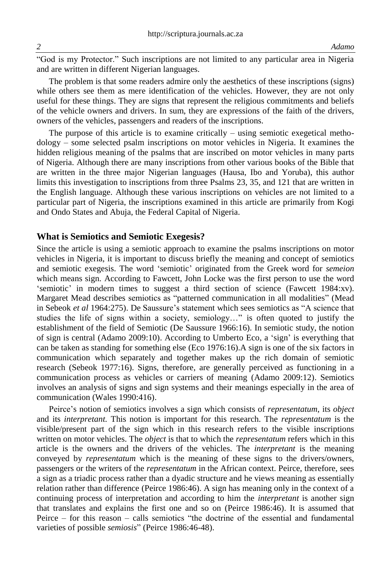"God is my Protector." Such inscriptions are not limited to any particular area in Nigeria and are written in different Nigerian languages.

The problem is that some readers admire only the aesthetics of these inscriptions (signs) while others see them as mere identification of the vehicles. However, they are not only useful for these things. They are signs that represent the religious commitments and beliefs of the vehicle owners and drivers. In sum, they are expressions of the faith of the drivers, owners of the vehicles, passengers and readers of the inscriptions.

The purpose of this article is to examine critically – using semiotic exegetical methodology – some selected psalm inscriptions on motor vehicles in Nigeria. It examines the hidden religious meaning of the psalms that are inscribed on motor vehicles in many parts of Nigeria. Although there are many inscriptions from other various books of the Bible that are written in the three major Nigerian languages (Hausa, Ibo and Yoruba), this author limits this investigation to inscriptions from three Psalms 23, 35, and 121 that are written in the English language. Although these various inscriptions on vehicles are not limited to a particular part of Nigeria, the inscriptions examined in this article are primarily from Kogi and Ondo States and Abuja, the Federal Capital of Nigeria.

#### **What is Semiotics and Semiotic Exegesis?**

Since the article is using a semiotic approach to examine the psalms inscriptions on motor vehicles in Nigeria, it is important to discuss briefly the meaning and concept of semiotics and semiotic exegesis. The word 'semiotic' originated from the Greek word for *semeion*  which means sign. According to Fawcett, John Locke was the first person to use the word 'semiotic' in modern times to suggest a third section of science (Fawcett 1984:xv). Margaret Mead describes semiotics as "patterned communication in all modalities" (Mead in Sebeok *et al* 1964:275). De Saussure's statement which sees semiotics as "A science that studies the life of signs within a society, semiology…" is often quoted to justify the establishment of the field of Semiotic (De Saussure 1966:16). In semiotic study, the notion of sign is central (Adamo 2009:10). According to Umberto Eco, a 'sign' is everything that can be taken as standing for something else (Eco 1976:16).A sign is one of the six factors in communication which separately and together makes up the rich domain of semiotic research (Sebeok 1977:16). Signs, therefore, are generally perceived as functioning in a communication process as vehicles or carriers of meaning (Adamo 2009:12). Semiotics involves an analysis of signs and sign systems and their meanings especially in the area of communication (Wales 1990:416).

Peirce's notion of semiotics involves a sign which consists of *representatum*, its *object* and its *interpretant.* This notion is important for this research. The *representatum* is the visible/present part of the sign which in this research refers to the visible inscriptions written on motor vehicles. The *object* is that to which the *representatum* refers which in this article is the owners and the drivers of the vehicles. The *interpretant* is the meaning conveyed by *representatum* which is the meaning of these signs to the drivers/owners, passengers or the writers of the *representatum* in the African context. Peirce, therefore, sees a sign as a triadic process rather than a dyadic structure and he views meaning as essentially relation rather than difference (Peirce 1986:46). A sign has meaning only in the context of a continuing process of interpretation and according to him the *interpretant* is another sign that translates and explains the first one and so on (Peirce 1986:46). It is assumed that Peirce – for this reason – calls semiotics "the doctrine of the essential and fundamental varieties of possible *semiosis*" (Peirce 1986:46-48).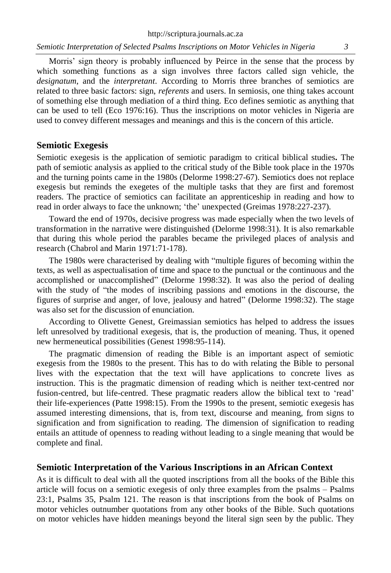http://scriptura.journals.ac.za

*Semiotic Interpretation of Selected Psalms Inscriptions on Motor Vehicles in Nigeria 3*

Morris' sign theory is probably influenced by Peirce in the sense that the process by which something functions as a sign involves three factors called sign vehicle, the *designatum*, and the *interpretant*. According to Morris three branches of semiotics are related to three basic factors: sign, *referents* and users. In semiosis, one thing takes account of something else through mediation of a third thing. Eco defines semiotic as anything that can be used to tell (Eco 1976:16). Thus the inscriptions on motor vehicles in Nigeria are used to convey different messages and meanings and this is the concern of this article.

## **Semiotic Exegesis**

Semiotic exegesis is the application of semiotic paradigm to critical biblical studies**.** The path of semiotic analysis as applied to the critical study of the Bible took place in the 1970s and the turning points came in the 1980s (Delorme 1998:27-67). Semiotics does not replace exegesis but reminds the exegetes of the multiple tasks that they are first and foremost readers. The practice of semiotics can facilitate an apprenticeship in reading and how to read in order always to face the unknown; 'the' unexpected (Greimas 1978:227-237).

Toward the end of 1970s, decisive progress was made especially when the two levels of transformation in the narrative were distinguished (Delorme 1998:31). It is also remarkable that during this whole period the parables became the privileged places of analysis and research (Chabrol and Marin 1971:71-178).

The 1980s were characterised by dealing with "multiple figures of becoming within the texts, as well as aspectualisation of time and space to the punctual or the continuous and the accomplished or unaccomplished" (Delorme 1998:32). It was also the period of dealing with the study of "the modes of inscribing passions and emotions in the discourse, the figures of surprise and anger, of love, jealousy and hatred" (Delorme 1998:32). The stage was also set for the discussion of enunciation.

According to Olivette Genest, Greimassian semiotics has helped to address the issues left unresolved by traditional exegesis, that is, the production of meaning. Thus, it opened new hermeneutical possibilities (Genest 1998:95-114).

The pragmatic dimension of reading the Bible is an important aspect of semiotic exegesis from the 1980s to the present. This has to do with relating the Bible to personal lives with the expectation that the text will have applications to concrete lives as instruction. This is the pragmatic dimension of reading which is neither text-centred nor fusion-centred, but life-centred. These pragmatic readers allow the biblical text to 'read' their life-experiences (Patte 1998:15). From the 1990s to the present, semiotic exegesis has assumed interesting dimensions, that is, from text, discourse and meaning, from signs to signification and from signification to reading. The dimension of signification to reading entails an attitude of openness to reading without leading to a single meaning that would be complete and final.

## **Semiotic Interpretation of the Various Inscriptions in an African Context**

As it is difficult to deal with all the quoted inscriptions from all the books of the Bible this article will focus on a semiotic exegesis of only three examples from the psalms – Psalms 23:1, Psalms 35, Psalm 121. The reason is that inscriptions from the book of Psalms on motor vehicles outnumber quotations from any other books of the Bible. Such quotations on motor vehicles have hidden meanings beyond the literal sign seen by the public. They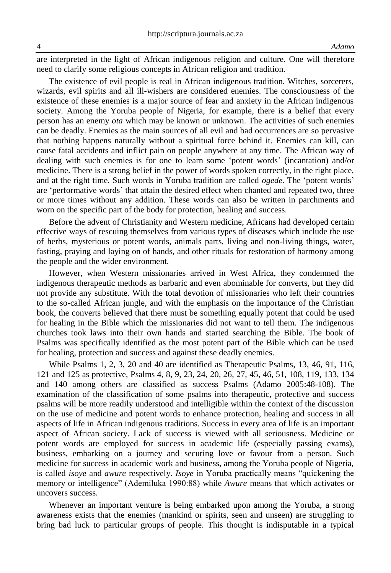are interpreted in the light of African indigenous religion and culture. One will therefore need to clarify some religious concepts in African religion and tradition.

The existence of evil people is real in African indigenous tradition. Witches, sorcerers, wizards, evil spirits and all ill-wishers are considered enemies. The consciousness of the existence of these enemies is a major source of fear and anxiety in the African indigenous society. Among the Yoruba people of Nigeria, for example, there is a belief that every person has an enemy *ota* which may be known or unknown. The activities of such enemies can be deadly. Enemies as the main sources of all evil and bad occurrences are so pervasive that nothing happens naturally without a spiritual force behind it. Enemies can kill, can cause fatal accidents and inflict pain on people anywhere at any time. The African way of dealing with such enemies is for one to learn some 'potent words' (incantation) and/or medicine. There is a strong belief in the power of words spoken correctly, in the right place, and at the right time. Such words in Yoruba tradition are called *ogede*. The 'potent words' are 'performative words' that attain the desired effect when chanted and repeated two, three or more times without any addition. These words can also be written in parchments and worn on the specific part of the body for protection, healing and success.

Before the advent of Christianity and Western medicine, Africans had developed certain effective ways of rescuing themselves from various types of diseases which include the use of herbs, mysterious or potent words, animals parts, living and non-living things, water, fasting, praying and laying on of hands, and other rituals for restoration of harmony among the people and the wider environment.

However, when Western missionaries arrived in West Africa, they condemned the indigenous therapeutic methods as barbaric and even abominable for converts, but they did not provide any substitute. With the total devotion of missionaries who left their countries to the so-called African jungle, and with the emphasis on the importance of the Christian book, the converts believed that there must be something equally potent that could be used for healing in the Bible which the missionaries did not want to tell them. The indigenous churches took laws into their own hands and started searching the Bible. The book of Psalms was specifically identified as the most potent part of the Bible which can be used for healing, protection and success and against these deadly enemies.

While Psalms 1, 2, 3, 20 and 40 are identified as Therapeutic Psalms, 13, 46, 91, 116, 121 and 125 as protective, Psalms 4, 8, 9, 23, 24, 20, 26, 27, 45, 46, 51, 108, 119, 133, 134 and 140 among others are classified as success Psalms (Adamo 2005:48-108). The examination of the classification of some psalms into therapeutic, protective and success psalms will be more readily understood and intelligible within the context of the discussion on the use of medicine and potent words to enhance protection, healing and success in all aspects of life in African indigenous traditions. Success in every area of life is an important aspect of African society. Lack of success is viewed with all seriousness. Medicine or potent words are employed for success in academic life (especially passing exams), business, embarking on a journey and securing love or favour from a person. Such medicine for success in academic work and business, among the Yoruba people of Nigeria, is called *isoye* and *awure* respectively. *Isoye* in Yoruba practically means "quickening the memory or intelligence" (Ademiluka 1990:88) while *Awure* means that which activates or uncovers success.

Whenever an important venture is being embarked upon among the Yoruba, a strong awareness exists that the enemies (mankind or spirits, seen and unseen) are struggling to bring bad luck to particular groups of people. This thought is indisputable in a typical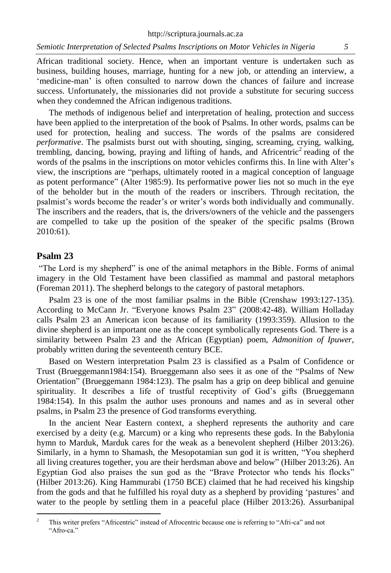African traditional society. Hence, when an important venture is undertaken such as business, building houses, marriage, hunting for a new job, or attending an interview, a 'medicine-man' is often consulted to narrow down the chances of failure and increase success. Unfortunately, the missionaries did not provide a substitute for securing success when they condemned the African indigenous traditions.

The methods of indigenous belief and interpretation of healing, protection and success have been applied to the interpretation of the book of Psalms. In other words, psalms can be used for protection, healing and success. The words of the psalms are considered *performative*. The psalmists burst out with shouting, singing, screaming, crying, walking, trembling, dancing, bowing, praying and lifting of hands, and Africentric<sup>2</sup> reading of the words of the psalms in the inscriptions on motor vehicles confirms this. In line with Alter's view, the inscriptions are "perhaps, ultimately rooted in a magical conception of language as potent performance" (Alter 1985:9). Its performative power lies not so much in the eye of the beholder but in the mouth of the readers or inscribers. Through recitation, the psalmist's words become the reader's or writer's words both individually and communally. The inscribers and the readers, that is, the drivers/owners of the vehicle and the passengers are compelled to take up the position of the speaker of the specific psalms (Brown 2010:61).

## **Psalm 23**

 $\overline{a}$ 

"The Lord is my shepherd" is one of the animal metaphors in the Bible. Forms of animal imagery in the Old Testament have been classified as mammal and pastoral metaphors (Foreman 2011). The shepherd belongs to the category of pastoral metaphors.

Psalm 23 is one of the most familiar psalms in the Bible (Crenshaw 1993:127-135). According to McCann Jr. "Everyone knows Psalm 23" (2008:42-48). William Holladay calls Psalm 23 an American icon because of its familiarity (1993:359). Allusion to the divine shepherd is an important one as the concept symbolically represents God. There is a similarity between Psalm 23 and the African (Egyptian) poem, *Admonition of Ipuwer*, probably written during the seventeenth century BCE.

Based on Western interpretation Psalm 23 is classified as a Psalm of Confidence or Trust (Brueggemann1984:154). Brueggemann also sees it as one of the "Psalms of New Orientation" (Brueggemann 1984:123). The psalm has a grip on deep biblical and genuine spirituality. It describes a life of trustful receptivity of God's gifts (Brueggemann 1984:154). In this psalm the author uses pronouns and names and as in several other psalms, in Psalm 23 the presence of God transforms everything.

In the ancient Near Eastern context, a shepherd represents the authority and care exercised by a deity (e.g. Marcum) or a king who represents these gods. In the Babylonia hymn to Marduk, Marduk cares for the weak as a benevolent shepherd (Hilber 2013:26). Similarly, in a hymn to Shamash, the Mesopotamian sun god it is written, "You shepherd all living creatures together, you are their herdsman above and below" (Hilber 2013:26). An Egyptian God also praises the sun god as the "Brave Protector who tends his flocks" (Hilber 2013:26). King Hammurabi (1750 BCE) claimed that he had received his kingship from the gods and that he fulfilled his royal duty as a shepherd by providing 'pastures' and water to the people by settling them in a peaceful place (Hilber 2013:26). Assurbanipal

<sup>&</sup>lt;sup>2</sup> This writer prefers "Africentric" instead of Afrocentric because one is referring to "Afri-ca" and not "Afro-ca."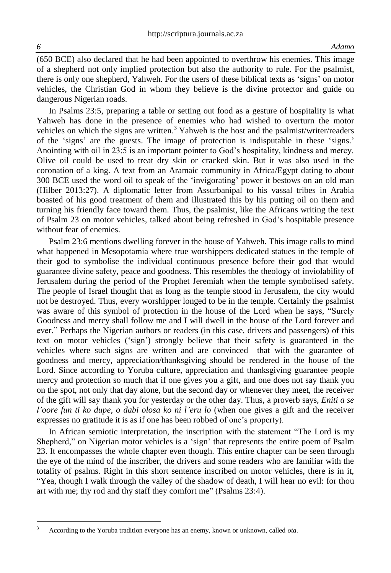(650 BCE) also declared that he had been appointed to overthrow his enemies. This image of a shepherd not only implied protection but also the authority to rule. For the psalmist, there is only one shepherd, Yahweh. For the users of these biblical texts as 'signs' on motor vehicles, the Christian God in whom they believe is the divine protector and guide on dangerous Nigerian roads.

In Psalms 23:5, preparing a table or setting out food as a gesture of hospitality is what Yahweh has done in the presence of enemies who had wished to overturn the motor vehicles on which the signs are written.<sup>3</sup> Yahweh is the host and the psalmist/writer/readers of the 'signs' are the guests. The image of protection is indisputable in these 'signs.' Anointing with oil in 23:5 is an important pointer to God's hospitality, kindness and mercy. Olive oil could be used to treat dry skin or cracked skin. But it was also used in the coronation of a king. A text from an Aramaic community in Africa/Egypt dating to about 300 BCE used the word oil to speak of the 'invigorating' power it bestows on an old man (Hilber 2013:27). A diplomatic letter from Assurbanipal to his vassal tribes in Arabia boasted of his good treatment of them and illustrated this by his putting oil on them and turning his friendly face toward them. Thus, the psalmist, like the Africans writing the text of Psalm 23 on motor vehicles, talked about being refreshed in God's hospitable presence without fear of enemies.

Psalm 23:6 mentions dwelling forever in the house of Yahweh. This image calls to mind what happened in Mesopotamia where true worshippers dedicated statues in the temple of their god to symbolise the individual continuous presence before their god that would guarantee divine safety, peace and goodness. This resembles the theology of inviolability of Jerusalem during the period of the Prophet Jeremiah when the temple symbolised safety. The people of Israel thought that as long as the temple stood in Jerusalem, the city would not be destroyed. Thus, every worshipper longed to be in the temple. Certainly the psalmist was aware of this symbol of protection in the house of the Lord when he says, "Surely Goodness and mercy shall follow me and I will dwell in the house of the Lord forever and ever." Perhaps the Nigerian authors or readers (in this case, drivers and passengers) of this text on motor vehicles ('sign') strongly believe that their safety is guaranteed in the vehicles where such signs are written and are convinced that with the guarantee of goodness and mercy, appreciation/thanksgiving should be rendered in the house of the Lord. Since according to Yoruba culture, appreciation and thanksgiving guarantee people mercy and protection so much that if one gives you a gift, and one does not say thank you on the spot, not only that day alone, but the second day or whenever they meet, the receiver of the gift will say thank you for yesterday or the other day. Thus, a proverb says, *Eniti a se l'oore fun ti ko dupe, o dabi olosa ko ni l'eru lo* (when one gives a gift and the receiver expresses no gratitude it is as if one has been robbed of one's property).

In African semiotic interpretation, the inscription with the statement "The Lord is my Shepherd," on Nigerian motor vehicles is a 'sign' that represents the entire poem of Psalm 23. It encompasses the whole chapter even though. This entire chapter can be seen through the eye of the mind of the inscriber, the drivers and some readers who are familiar with the totality of psalms. Right in this short sentence inscribed on motor vehicles, there is in it, "Yea, though I walk through the valley of the shadow of death, I will hear no evil: for thou art with me; thy rod and thy staff they comfort me" (Psalms 23:4).

 $\sqrt{3}$ <sup>3</sup> According to the Yoruba tradition everyone has an enemy, known or unknown, called *ota.*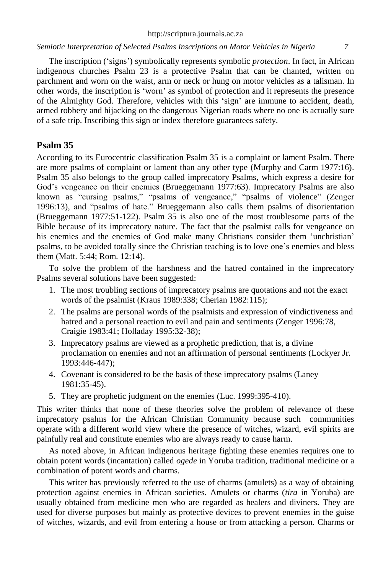http://scriptura.journals.ac.za

*Semiotic Interpretation of Selected Psalms Inscriptions on Motor Vehicles in Nigeria 7*

The inscription ('signs') symbolically represents symbolic *protection*. In fact, in African indigenous churches Psalm 23 is a protective Psalm that can be chanted, written on parchment and worn on the waist, arm or neck or hung on motor vehicles as a talisman. In other words, the inscription is 'worn' as symbol of protection and it represents the presence of the Almighty God. Therefore, vehicles with this 'sign' are immune to accident, death, armed robbery and hijacking on the dangerous Nigerian roads where no one is actually sure of a safe trip. Inscribing this sign or index therefore guarantees safety.

## **Psalm 35**

According to its Eurocentric classification Psalm 35 is a complaint or lament Psalm. There are more psalms of complaint or lament than any other type (Murphy and Carm 1977:16). Psalm 35 also belongs to the group called imprecatory Psalms, which express a desire for God's vengeance on their enemies (Brueggemann 1977:63). Imprecatory Psalms are also known as "cursing psalms," "psalms of vengeance," "psalms of violence" (Zenger 1996:13), and "psalms of hate." Brueggemann also calls them psalms of disorientation (Brueggemann 1977:51-122). Psalm 35 is also one of the most troublesome parts of the Bible because of its imprecatory nature. The fact that the psalmist calls for vengeance on his enemies and the enemies of God make many Christians consider them 'unchristian' psalms, to be avoided totally since the Christian teaching is to love one's enemies and bless them (Matt. 5:44; Rom. 12:14).

To solve the problem of the harshness and the hatred contained in the imprecatory Psalms several solutions have been suggested:

- 1. The most troubling sections of imprecatory psalms are quotations and not the exact words of the psalmist (Kraus 1989:338; Cherian 1982:115);
- 2. The psalms are personal words of the psalmists and expression of vindictiveness and hatred and a personal reaction to evil and pain and sentiments (Zenger 1996:78, Craigie 1983:41; Holladay 1995:32-38);
- 3. Imprecatory psalms are viewed as a prophetic prediction, that is, a divine proclamation on enemies and not an affirmation of personal sentiments (Lockyer Jr. 1993:446-447);
- 4. Covenant is considered to be the basis of these imprecatory psalms (Laney 1981:35-45).
- 5. They are prophetic judgment on the enemies (Luc. 1999:395-410).

This writer thinks that none of these theories solve the problem of relevance of these imprecatory psalms for the African Christian Community because such communities operate with a different world view where the presence of witches, wizard, evil spirits are painfully real and constitute enemies who are always ready to cause harm.

As noted above, in African indigenous heritage fighting these enemies requires one to obtain potent words (incantation) called *ogede* in Yoruba tradition, traditional medicine or a combination of potent words and charms.

This writer has previously referred to the use of charms (amulets) as a way of obtaining protection against enemies in African societies. Amulets or charms (*tira* in Yoruba) are usually obtained from medicine men who are regarded as healers and diviners. They are used for diverse purposes but mainly as protective devices to prevent enemies in the guise of witches, wizards, and evil from entering a house or from attacking a person. Charms or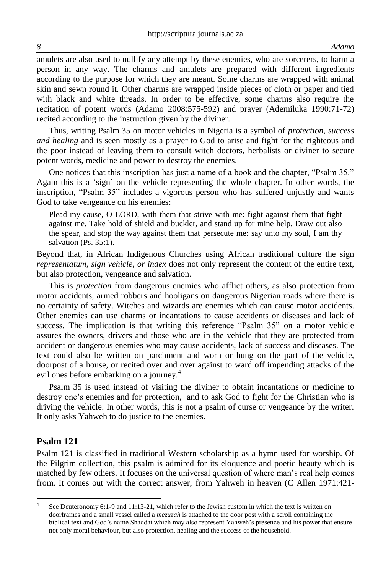amulets are also used to nullify any attempt by these enemies, who are sorcerers, to harm a person in any way. The charms and amulets are prepared with different ingredients according to the purpose for which they are meant. Some charms are wrapped with animal skin and sewn round it. Other charms are wrapped inside pieces of cloth or paper and tied with black and white threads. In order to be effective, some charms also require the recitation of potent words (Adamo 2008:575-592) and prayer (Ademiluka 1990:71-72) recited according to the instruction given by the diviner.

Thus, writing Psalm 35 on motor vehicles in Nigeria is a symbol of *protection, success and healing* and is seen mostly as a prayer to God to arise and fight for the righteous and the poor instead of leaving them to consult witch doctors, herbalists or diviner to secure potent words, medicine and power to destroy the enemies.

One notices that this inscription has just a name of a book and the chapter, "Psalm 35." Again this is a 'sign' on the vehicle representing the whole chapter. In other words, the inscription, "Psalm 35" includes a vigorous person who has suffered unjustly and wants God to take vengeance on his enemies:

Plead my cause, O LORD, with them that strive with me: fight against them that fight against me. Take hold of shield and buckler, and stand up for mine help. Draw out also the spear, and stop the way against them that persecute me: say unto my soul, I am thy salvation (Ps. 35:1).

Beyond that, in African Indigenous Churches using African traditional culture the sign *representatum, sign vehicle, or index* does not only represent the content of the entire text, but also protection, vengeance and salvation.

This is *protection* from dangerous enemies who afflict others, as also protection from motor accidents, armed robbers and hooligans on dangerous Nigerian roads where there is no certainty of safety. Witches and wizards are enemies which can cause motor accidents. Other enemies can use charms or incantations to cause accidents or diseases and lack of success. The implication is that writing this reference "Psalm 35" on a motor vehicle assures the owners, drivers and those who are in the vehicle that they are protected from accident or dangerous enemies who may cause accidents, lack of success and diseases. The text could also be written on parchment and worn or hung on the part of the vehicle, doorpost of a house, or recited over and over against to ward off impending attacks of the evil ones before embarking on a journey.<sup>4</sup>

Psalm 35 is used instead of visiting the diviner to obtain incantations or medicine to destroy one's enemies and for protection, and to ask God to fight for the Christian who is driving the vehicle. In other words, this is not a psalm of curse or vengeance by the writer. It only asks Yahweh to do justice to the enemies.

#### **Psalm 121**

 $\overline{a}$ 

Psalm 121 is classified in traditional Western scholarship as a hymn used for worship. Of the Pilgrim collection, this psalm is admired for its eloquence and poetic beauty which is matched by few others. It focuses on the universal question of where man's real help comes from. It comes out with the correct answer, from Yahweh in heaven (C Allen 1971:421-

<sup>4</sup> See Deuteronomy 6:1-9 and 11:13-21, which refer to the Jewish custom in which the text is written on doorframes and a small vessel called a *mezuzah* is attached to the door post with a scroll containing the biblical text and God's name Shaddai which may also represent Yahweh's presence and his power that ensure not only moral behaviour, but also protection, healing and the success of the household.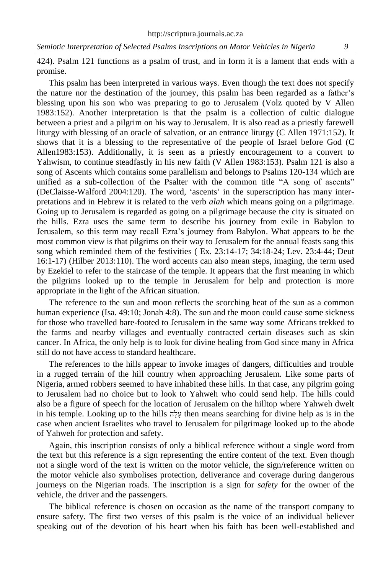424). Psalm 121 functions as a psalm of trust, and in form it is a lament that ends with a promise.

This psalm has been interpreted in various ways. Even though the text does not specify the nature nor the destination of the journey, this psalm has been regarded as a father's blessing upon his son who was preparing to go to Jerusalem (Volz quoted by V Allen 1983:152). Another interpretation is that the psalm is a collection of cultic dialogue between a priest and a pilgrim on his way to Jerusalem. It is also read as a priestly farewell liturgy with blessing of an oracle of salvation, or an entrance liturgy (C Allen 1971:152). It shows that it is a blessing to the representative of the people of Israel before God (C Allen1983:153). Additionally, it is seen as a priestly encouragement to a convert to Yahwism, to continue steadfastly in his new faith (V Allen 1983:153). Psalm 121 is also a song of Ascents which contains some parallelism and belongs to Psalms 120-134 which are unified as a sub-collection of the Psalter with the common title "A song of ascents" (DeClaisse-Walford 2004:120). The word, 'ascents' in the superscription has many interpretations and in Hebrew it is related to the verb *alah* which means going on a pilgrimage. Going up to Jerusalem is regarded as going on a pilgrimage because the city is situated on the hills. Ezra uses the same term to describe his journey from exile in Babylon to Jerusalem, so this term may recall Ezra's journey from Babylon. What appears to be the most common view is that pilgrims on their way to Jerusalem for the annual feasts sang this song which reminded them of the festivities ( Ex. 23:14-17; 34:18-24; Lev. 23:4-44; Deut 16:1-17) (Hilber 2013:110). The word accents can also mean steps, imaging, the term used by Ezekiel to refer to the staircase of the temple. It appears that the first meaning in which the pilgrims looked up to the temple in Jerusalem for help and protection is more appropriate in the light of the African situation.

The reference to the sun and moon reflects the scorching heat of the sun as a common human experience (Isa. 49:10; Jonah 4:8). The sun and the moon could cause some sickness for those who travelled bare-footed to Jerusalem in the same way some Africans trekked to the farms and nearby villages and eventually contracted certain diseases such as skin cancer. In Africa, the only help is to look for divine healing from God since many in Africa still do not have access to standard healthcare.

The references to the hills appear to invoke images of dangers, difficulties and trouble in a rugged terrain of the hill country when approaching Jerusalem. Like some parts of Nigeria, armed robbers seemed to have inhabited these hills. In that case, any pilgrim going to Jerusalem had no choice but to look to Yahweh who could send help. The hills could also be a figure of speech for the location of Jerusalem on the hilltop where Yahweh dwelt in his temple. Looking up to the hills הָלָע then means searching for divine help as is in the case when ancient Israelites who travel to Jerusalem for pilgrimage looked up to the abode of Yahweh for protection and safety.

Again, this inscription consists of only a biblical reference without a single word from the text but this reference is a sign representing the entire content of the text. Even though not a single word of the text is written on the motor vehicle, the sign/reference written on the motor vehicle also symbolises protection, deliverance and coverage during dangerous journeys on the Nigerian roads. The inscription is a sign for *safety* for the owner of the vehicle, the driver and the passengers.

The biblical reference is chosen on occasion as the name of the transport company to ensure safety. The first two verses of this psalm is the voice of an individual believer speaking out of the devotion of his heart when his faith has been well-established and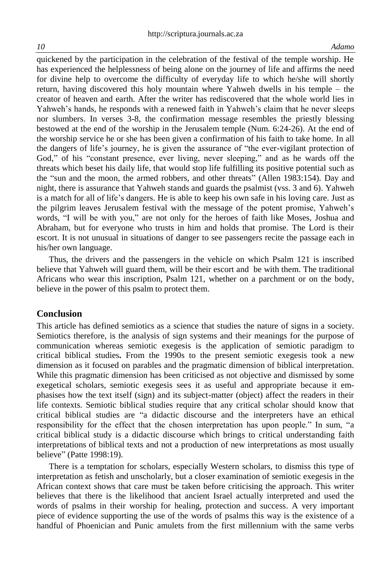quickened by the participation in the celebration of the festival of the temple worship. He has experienced the helplessness of being alone on the journey of life and affirms the need for divine help to overcome the difficulty of everyday life to which he/she will shortly return, having discovered this holy mountain where Yahweh dwells in his temple – the creator of heaven and earth. After the writer has rediscovered that the whole world lies in Yahweh's hands, he responds with a renewed faith in Yahweh's claim that he never sleeps nor slumbers. In verses 3-8, the confirmation message resembles the priestly blessing bestowed at the end of the worship in the Jerusalem temple (Num. 6:24-26). At the end of the worship service he or she has been given a confirmation of his faith to take home. In all the dangers of life's journey, he is given the assurance of "the ever-vigilant protection of God," of his "constant presence, ever living, never sleeping," and as he wards off the threats which beset his daily life, that would stop life fulfilling its positive potential such as the "sun and the moon, the armed robbers, and other threats" (Allen 1983:154). Day and night, there is assurance that Yahweh stands and guards the psalmist (vss. 3 and 6). Yahweh is a match for all of life's dangers. He is able to keep his own safe in his loving care. Just as the pilgrim leaves Jerusalem festival with the message of the potent promise, Yahweh's words, "I will be with you," are not only for the heroes of faith like Moses, Joshua and Abraham, but for everyone who trusts in him and holds that promise. The Lord is their escort. It is not unusual in situations of danger to see passengers recite the passage each in his/her own language.

Thus, the drivers and the passengers in the vehicle on which Psalm 121 is inscribed believe that Yahweh will guard them, will be their escort and be with them. The traditional Africans who wear this inscription, Psalm 121, whether on a parchment or on the body, believe in the power of this psalm to protect them.

## **Conclusion**

This article has defined semiotics as a science that studies the nature of signs in a society. Semiotics therefore, is the analysis of sign systems and their meanings for the purpose of communication whereas semiotic exegesis is the application of semiotic paradigm to critical biblical studies**.** From the 1990s to the present semiotic exegesis took a new dimension as it focused on parables and the pragmatic dimension of biblical interpretation. While this pragmatic dimension has been criticised as not objective and dismissed by some exegetical scholars, semiotic exegesis sees it as useful and appropriate because it emphasises how the text itself (sign) and its subject-matter (object) affect the readers in their life contexts. Semiotic biblical studies require that any critical scholar should know that critical biblical studies are "a didactic discourse and the interpreters have an ethical responsibility for the effect that the chosen interpretation has upon people." In sum, "a critical biblical study is a didactic discourse which brings to critical understanding faith interpretations of biblical texts and not a production of new interpretations as most usually believe" (Patte 1998:19).

There is a temptation for scholars, especially Western scholars, to dismiss this type of interpretation as fetish and unscholarly, but a closer examination of semiotic exegesis in the African context shows that care must be taken before criticising the approach. This writer believes that there is the likelihood that ancient Israel actually interpreted and used the words of psalms in their worship for healing, protection and success. A very important piece of evidence supporting the use of the words of psalms this way is the existence of a handful of Phoenician and Punic amulets from the first millennium with the same verbs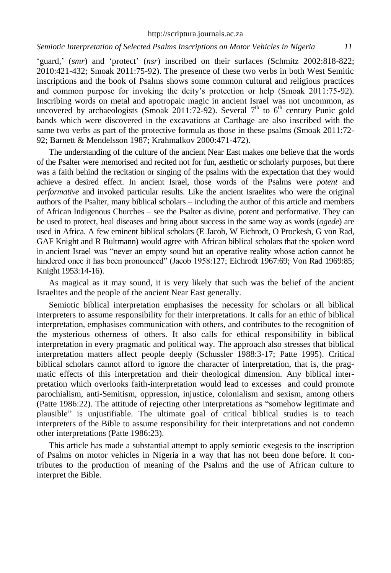http://scriptura.journals.ac.za

'guard,' (*smr*) and 'protect' (*nsr*) inscribed on their surfaces (Schmitz 2002:818-822; 2010:421-432; Smoak 2011:75-92). The presence of these two verbs in both West Semitic inscriptions and the book of Psalms shows some common cultural and religious practices and common purpose for invoking the deity's protection or help (Smoak 2011:75-92). Inscribing words on metal and apotropaic magic in ancient Israel was not uncommon, as uncovered by archaeologists (Smoak 2011:72-92). Several  $7<sup>th</sup>$  to  $6<sup>th</sup>$  century Punic gold bands which were discovered in the excavations at Carthage are also inscribed with the same two verbs as part of the protective formula as those in these psalms (Smoak 2011:72- 92; Barnett & Mendelsson 1987; Krahmalkov 2000:471-472).

The understanding of the culture of the ancient Near East makes one believe that the words of the Psalter were memorised and recited not for fun, aesthetic or scholarly purposes, but there was a faith behind the recitation or singing of the psalms with the expectation that they would achieve a desired effect. In ancient Israel, those words of the Psalms were *potent* and *performative* and invoked particular results. Like the ancient Israelites who were the original authors of the Psalter, many biblical scholars – including the author of this article and members of African Indigenous Churches – see the Psalter as divine, potent and performative. They can be used to protect, heal diseases and bring about success in the same way as words (*ogede*) are used in Africa. A few eminent biblical scholars (E Jacob, W Eichrodt, O Prockesh, G von Rad, GAF Knight and R Bultmann) would agree with African biblical scholars that the spoken word in ancient Israel was "never an empty sound but an operative reality whose action cannot be hindered once it has been pronounced" (Jacob 1958:127; Eichrodt 1967:69; Von Rad 1969:85; Knight 1953:14-16).

As magical as it may sound, it is very likely that such was the belief of the ancient Israelites and the people of the ancient Near East generally.

Semiotic biblical interpretation emphasises the necessity for scholars or all biblical interpreters to assume responsibility for their interpretations. It calls for an ethic of biblical interpretation, emphasises communication with others, and contributes to the recognition of the mysterious otherness of others. It also calls for ethical responsibility in biblical interpretation in every pragmatic and political way. The approach also stresses that biblical interpretation matters affect people deeply (Schussler 1988:3-17; Patte 1995). Critical biblical scholars cannot afford to ignore the character of interpretation, that is, the pragmatic effects of this interpretation and their theological dimension. Any biblical interpretation which overlooks faith-interpretation would lead to excesses and could promote parochialism, anti-Semitism, oppression, injustice, colonialism and sexism, among others (Patte 1986:22). The attitude of rejecting other interpretations as "somehow legitimate and plausible" is unjustifiable. The ultimate goal of critical biblical studies is to teach interpreters of the Bible to assume responsibility for their interpretations and not condemn other interpretations (Patte 1986:23).

This article has made a substantial attempt to apply semiotic exegesis to the inscription of Psalms on motor vehicles in Nigeria in a way that has not been done before. It contributes to the production of meaning of the Psalms and the use of African culture to interpret the Bible.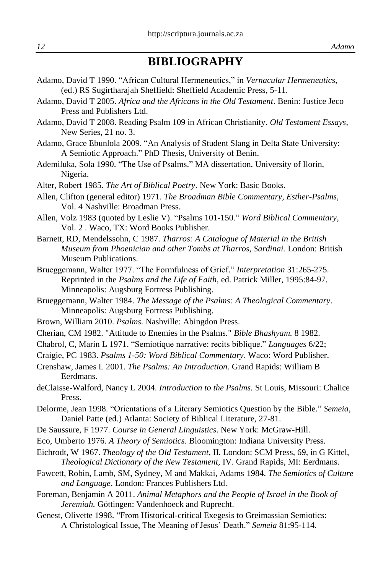# **BIBLIOGRAPHY**

- Adamo, David T 1990. "African Cultural Hermeneutics," in *Vernacular Hermeneutics,*  (ed.) RS Sugirtharajah Sheffield: Sheffield Academic Press, 5-11.
- Adamo, David T 2005. *Africa and the Africans in the Old Testament*. Benin: Justice Jeco Press and Publishers Ltd.
- Adamo, David T 2008. Reading Psalm 109 in African Christianity. *Old Testament Essays*, New Series, 21 no. 3.
- Adamo, Grace Ebunlola 2009. "An Analysis of Student Slang in Delta State University: A Semiotic Approach." PhD Thesis, University of Benin.
- Ademiluka, Sola 1990. "The Use of Psalms." MA dissertation, University of Ilorin, Nigeria.
- Alter, Robert 1985. *The Art of Biblical Poetry.* New York: Basic Books.
- Allen, Clifton (general editor) 1971. *The Broadman Bible Commentary, Esther-Psalms*, Vol. 4 Nashville: Broadman Press.
- Allen, Volz 1983 (quoted by Leslie V). "Psalms 101-150." *Word Biblical Commentary,*  Vol. 2 . Waco, TX: Word Books Publisher.
- Barnett, RD, Mendelssohn, C 1987. *Tharros: A Catalogue of Material in the British Museum from Phoenician and other Tombs at Tharros, Sardinai.* London: British Museum Publications.
- Brueggemann, Walter 1977. "The Formfulness of Grief." *Interpretation* 31:265-275. Reprinted in the *Psalms and the Life of Faith*, ed. Patrick Miller, 1995:84-97. Minneapolis: Augsburg Fortress Publishing.
- Brueggemann, Walter 1984. *The Message of the Psalms: A Theological Commentary.* Minneapolis: Augsburg Fortress Publishing.
- Brown, William 2010. *Psalms.* Nashville: Abingdon Press.
- Cherian, CM 1982. "Attitude to Enemies in the Psalms*.*" *Bible Bhashyam.* 8 1982.
- Chabrol, C, Marin L 1971. "Semiotique narrative: recits biblique." *Languages* 6/22;
- Craigie, PC 1983. *Psalms 1-50: Word Biblical Commentary*. Waco: Word Publisher.
- Crenshaw, James L 2001. *The Psalms: An Introduction.* Grand Rapids: William B Eerdmans.
- deClaisse-Walford, Nancy L 2004. *Introduction to the Psalms.* St Louis, Missouri: Chalice Press.
- Delorme, Jean 1998. "Orientations of a Literary Semiotics Question by the Bible." *Semeia*, Daniel Patte (ed.) Atlanta: Society of Biblical Literature, 27-81.
- De Saussure, F 1977. *Course in General Linguistics*. New York: McGraw-Hill.
- Eco, Umberto 1976. *A Theory of Semiotics*. Bloomington: Indiana University Press.
- Eichrodt, W 1967. *Theology of the Old Testament,* II*.* London: SCM Press, 69, in G Kittel, *Theological Dictionary of the New Testament,* IV. Grand Rapids, MI: Eerdmans.
- Fawcett, Robin, Lamb, SM, Sydney, M and Makkai, Adams 1984. *The Semiotics of Culture and Language*. London: Frances Publishers Ltd.
- Foreman, Benjamin A 2011. *Animal Metaphors and the People of Israel in the Book of Jeremiah.* Göttingen: Vandenhoeck and Ruprecht.
- Genest, Olivette 1998. "From Historical-critical Exegesis to Greimassian Semiotics: A Christological Issue, The Meaning of Jesus' Death." *Semeia* 81:95-114.